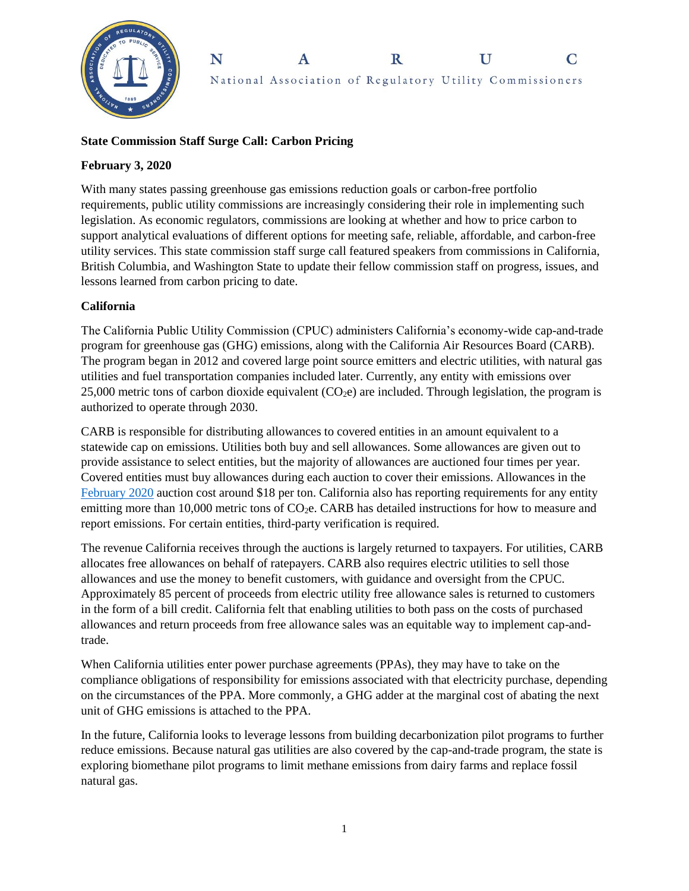

#### N  $\mathbf R$  $\mathbf{U}$  $\mathbf C$ A National Association of Regulatory Utility Commissioners

# **State Commission Staff Surge Call: Carbon Pricing**

## **February 3, 2020**

With many states passing greenhouse gas emissions reduction goals or carbon-free portfolio requirements, public utility commissions are increasingly considering their role in implementing such legislation. As economic regulators, commissions are looking at whether and how to price carbon to support analytical evaluations of different options for meeting safe, reliable, affordable, and carbon-free utility services. This state commission staff surge call featured speakers from commissions in California, British Columbia, and Washington State to update their fellow commission staff on progress, issues, and lessons learned from carbon pricing to date.

# **California**

The California Public Utility Commission (CPUC) administers California's economy-wide cap-and-trade program for greenhouse gas (GHG) emissions, along with the California Air Resources Board (CARB). The program began in 2012 and covered large point source emitters and electric utilities, with natural gas utilities and fuel transportation companies included later. Currently, any entity with emissions over 25,000 metric tons of carbon dioxide equivalent  $(CO<sub>2</sub>e)$  are included. Through legislation, the program is authorized to operate through 2030.

CARB is responsible for distributing allowances to covered entities in an amount equivalent to a statewide cap on emissions. Utilities both buy and sell allowances. Some allowances are given out to provide assistance to select entities, but the majority of allowances are auctioned four times per year. Covered entities must buy allowances during each auction to cover their emissions. Allowances in the [February 2020](https://ww3.arb.ca.gov/cc/capandtrade/auction/results_summary.pdf) auction cost around \$18 per ton. California also has reporting requirements for any entity emitting more than 10,000 metric tons of CO<sub>2</sub>e. CARB has detailed instructions for how to measure and report emissions. For certain entities, third-party verification is required.

The revenue California receives through the auctions is largely returned to taxpayers. For utilities, CARB allocates free allowances on behalf of ratepayers. CARB also requires electric utilities to sell those allowances and use the money to benefit customers, with guidance and oversight from the CPUC. Approximately 85 percent of proceeds from electric utility free allowance sales is returned to customers in the form of a bill credit. California felt that enabling utilities to both pass on the costs of purchased allowances and return proceeds from free allowance sales was an equitable way to implement cap-andtrade.

When California utilities enter power purchase agreements (PPAs), they may have to take on the compliance obligations of responsibility for emissions associated with that electricity purchase, depending on the circumstances of the PPA. More commonly, a GHG adder at the marginal cost of abating the next unit of GHG emissions is attached to the PPA.

In the future, California looks to leverage lessons from building decarbonization pilot programs to further reduce emissions. Because natural gas utilities are also covered by the cap-and-trade program, the state is exploring biomethane pilot programs to limit methane emissions from dairy farms and replace fossil natural gas.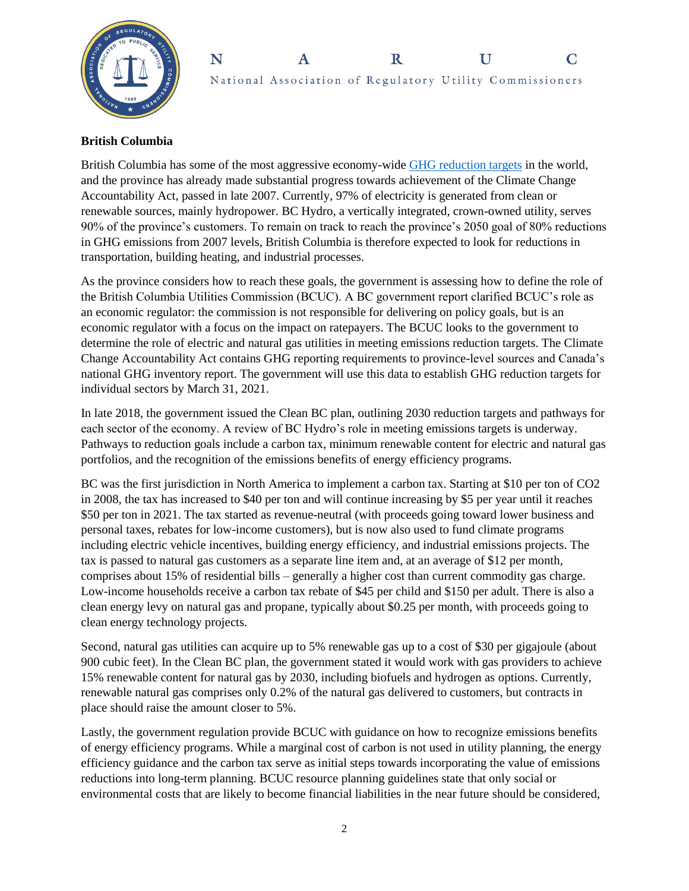



### **British Columbia**

British Columbia has some of the most aggressive economy-wide [GHG reduction targets](https://www2.gov.bc.ca/gov/content/environment/climate-change/planning-and-action/legislation) in the world, and the province has already made substantial progress towards achievement of the Climate Change Accountability Act, passed in late 2007. Currently, 97% of electricity is generated from clean or renewable sources, mainly hydropower. BC Hydro, a vertically integrated, crown-owned utility, serves 90% of the province's customers. To remain on track to reach the province's 2050 goal of 80% reductions in GHG emissions from 2007 levels, British Columbia is therefore expected to look for reductions in transportation, building heating, and industrial processes.

As the province considers how to reach these goals, the government is assessing how to define the role of the British Columbia Utilities Commission (BCUC). A BC government report clarified BCUC's role as an economic regulator: the commission is not responsible for delivering on policy goals, but is an economic regulator with a focus on the impact on ratepayers. The BCUC looks to the government to determine the role of electric and natural gas utilities in meeting emissions reduction targets. The Climate Change Accountability Act contains GHG reporting requirements to province-level sources and Canada's national GHG inventory report. The government will use this data to establish GHG reduction targets for individual sectors by March 31, 2021.

In late 2018, the government issued the Clean BC plan, outlining 2030 reduction targets and pathways for each sector of the economy. A review of BC Hydro's role in meeting emissions targets is underway. Pathways to reduction goals include a carbon tax, minimum renewable content for electric and natural gas portfolios, and the recognition of the emissions benefits of energy efficiency programs.

BC was the first jurisdiction in North America to implement a carbon tax. Starting at \$10 per ton of CO2 in 2008, the tax has increased to \$40 per ton and will continue increasing by \$5 per year until it reaches \$50 per ton in 2021. The tax started as revenue-neutral (with proceeds going toward lower business and personal taxes, rebates for low-income customers), but is now also used to fund climate programs including electric vehicle incentives, building energy efficiency, and industrial emissions projects. The tax is passed to natural gas customers as a separate line item and, at an average of \$12 per month, comprises about 15% of residential bills – generally a higher cost than current commodity gas charge. Low-income households receive a carbon tax rebate of \$45 per child and \$150 per adult. There is also a clean energy levy on natural gas and propane, typically about \$0.25 per month, with proceeds going to clean energy technology projects.

Second, natural gas utilities can acquire up to 5% renewable gas up to a cost of \$30 per gigajoule (about 900 cubic feet). In the Clean BC plan, the government stated it would work with gas providers to achieve 15% renewable content for natural gas by 2030, including biofuels and hydrogen as options. Currently, renewable natural gas comprises only 0.2% of the natural gas delivered to customers, but contracts in place should raise the amount closer to 5%.

Lastly, the government regulation provide BCUC with guidance on how to recognize emissions benefits of energy efficiency programs. While a marginal cost of carbon is not used in utility planning, the energy efficiency guidance and the carbon tax serve as initial steps towards incorporating the value of emissions reductions into long-term planning. BCUC resource planning guidelines state that only social or environmental costs that are likely to become financial liabilities in the near future should be considered,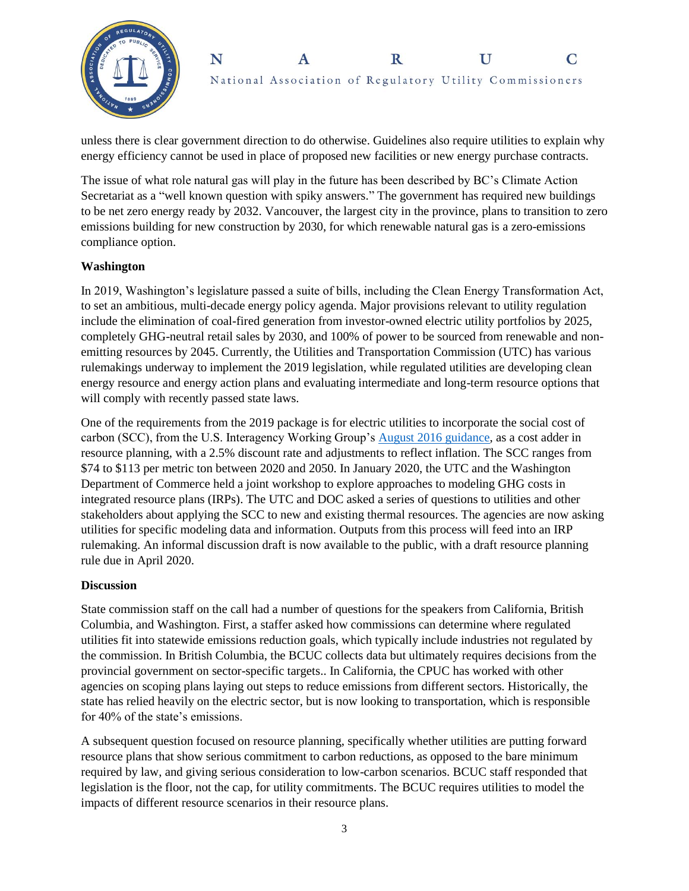



unless there is clear government direction to do otherwise. Guidelines also require utilities to explain why energy efficiency cannot be used in place of proposed new facilities or new energy purchase contracts.

The issue of what role natural gas will play in the future has been described by BC's Climate Action Secretariat as a "well known question with spiky answers." The government has required new buildings to be net zero energy ready by 2032. Vancouver, the largest city in the province, plans to transition to zero emissions building for new construction by 2030, for which renewable natural gas is a zero-emissions compliance option.

## **Washington**

In 2019, Washington's legislature passed a suite of bills, including the Clean Energy Transformation Act, to set an ambitious, multi-decade energy policy agenda. Major provisions relevant to utility regulation include the elimination of coal-fired generation from investor-owned electric utility portfolios by 2025, completely GHG-neutral retail sales by 2030, and 100% of power to be sourced from renewable and nonemitting resources by 2045. Currently, the Utilities and Transportation Commission (UTC) has various rulemakings underway to implement the 2019 legislation, while regulated utilities are developing clean energy resource and energy action plans and evaluating intermediate and long-term resource options that will comply with recently passed state laws.

One of the requirements from the 2019 package is for electric utilities to incorporate the social cost of carbon (SCC), from the U.S. Interagency Working Group's [August 2016 guidance,](https://www.epa.gov/sites/production/files/2016-12/documents/sc_co2_tsd_august_2016.pdf) as a cost adder in resource planning, with a 2.5% discount rate and adjustments to reflect inflation. The SCC ranges from \$74 to \$113 per metric ton between 2020 and 2050. In January 2020, the UTC and the Washington Department of Commerce held a joint workshop to explore approaches to modeling GHG costs in integrated resource plans (IRPs). The UTC and DOC asked a series of questions to utilities and other stakeholders about applying the SCC to new and existing thermal resources. The agencies are now asking utilities for specific modeling data and information. Outputs from this process will feed into an IRP rulemaking. An informal discussion draft is now available to the public, with a draft resource planning rule due in April 2020.

#### **Discussion**

State commission staff on the call had a number of questions for the speakers from California, British Columbia, and Washington. First, a staffer asked how commissions can determine where regulated utilities fit into statewide emissions reduction goals, which typically include industries not regulated by the commission. In British Columbia, the BCUC collects data but ultimately requires decisions from the provincial government on sector-specific targets.. In California, the CPUC has worked with other agencies on scoping plans laying out steps to reduce emissions from different sectors. Historically, the state has relied heavily on the electric sector, but is now looking to transportation, which is responsible for 40% of the state's emissions.

A subsequent question focused on resource planning, specifically whether utilities are putting forward resource plans that show serious commitment to carbon reductions, as opposed to the bare minimum required by law, and giving serious consideration to low-carbon scenarios. BCUC staff responded that legislation is the floor, not the cap, for utility commitments. The BCUC requires utilities to model the impacts of different resource scenarios in their resource plans.